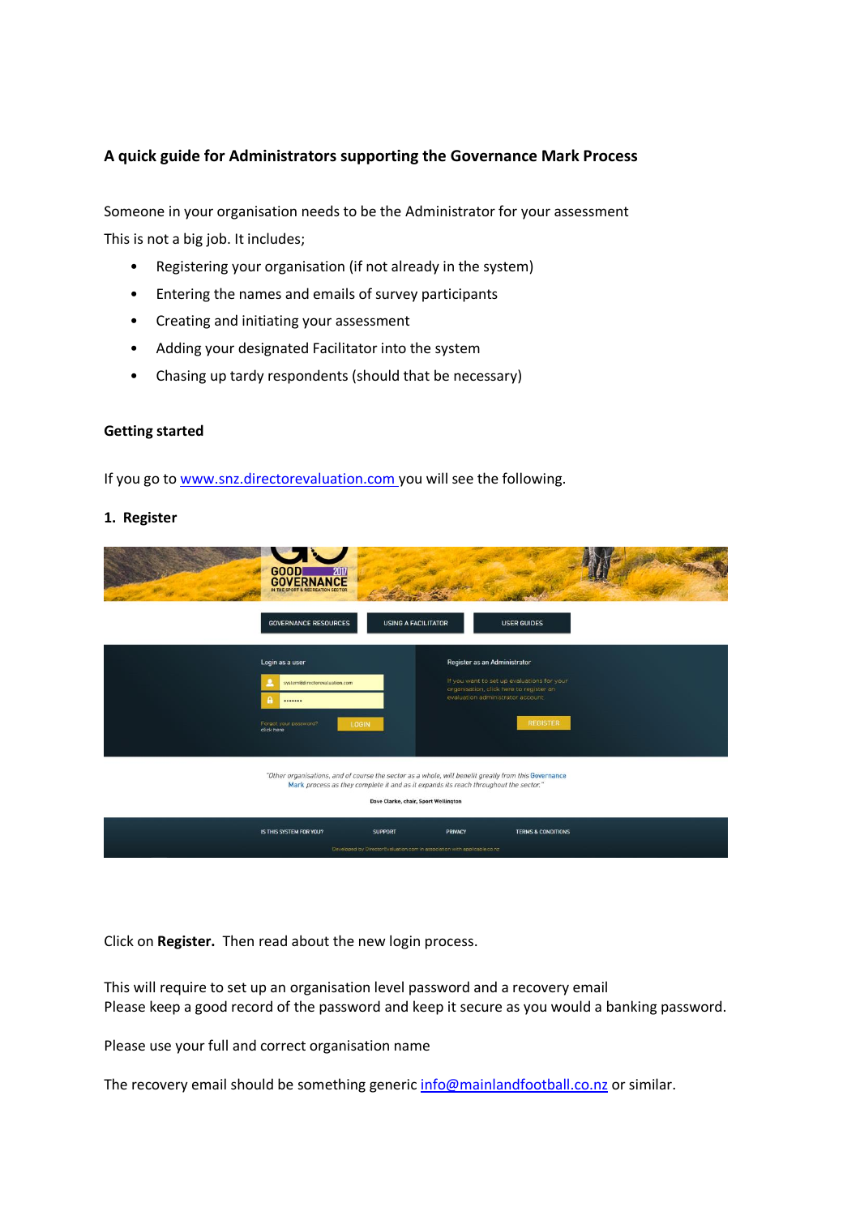## **A quick guide for Administrators supporting the Governance Mark Process**

Someone in your organisation needs to be the Administrator for your assessment This is not a big job. It includes;

- Registering your organisation (if not already in the system)
- Entering the names and emails of survey participants
- Creating and initiating your assessment
- Adding your designated Facilitator into the system
- Chasing up tardy respondents (should that be necessary)

## **Getting started**

If you go to [www.snz.directorevaluation.com y](http://www.snz.directorevaluation.com/)ou will see the following.

## **1. Register**

| <b>GOOD</b>                                                                                                                                                                                                                          | 2017<br><b>GOVERNANCE</b><br>IN THE SPORT & RECREATION SECTOR                              |                                                                                                                                                            |                               |  |  |
|--------------------------------------------------------------------------------------------------------------------------------------------------------------------------------------------------------------------------------------|--------------------------------------------------------------------------------------------|------------------------------------------------------------------------------------------------------------------------------------------------------------|-------------------------------|--|--|
|                                                                                                                                                                                                                                      | <b>USING A FACILITATOR</b><br><b>GOVERNANCE RESOURCES</b>                                  |                                                                                                                                                            | <b>USER GUIDES</b>            |  |  |
| Login as a user<br><br>Forgot your password?<br>click here                                                                                                                                                                           | system@directorevaluation.com<br><b>LOGIN</b>                                              | Register as an Administrator<br>If you want to set up evaluations for your<br>organisation, click here to register an<br>evaluation administrator account. | <b>REGISTER</b>               |  |  |
| "Other organisations, and of course the sector as a whole, will benefit greatly from this Governance<br>Mark process as they complete it and as it expands its reach throughout the sector."<br>Dave Clarke, chair, Sport Wellington |                                                                                            |                                                                                                                                                            |                               |  |  |
| IS THIS SYSTEM FOR YOU?                                                                                                                                                                                                              | <b>SUPPORT</b><br>Developed by DirectorEvaluation.com in association with applicable.co.nz | PRIVACY                                                                                                                                                    | <b>TERMS &amp; CONDITIONS</b> |  |  |

Click on **Register.** Then read about the new login process.

This will require to set up an organisation level password and a recovery email Please keep a good record of the password and keep it secure as you would a banking password.

Please use your full and correct organisation name

The recovery email should be something generic [info@mainlandfootball.co.nz](mailto:info@mainlandfootball.co.nz) or similar.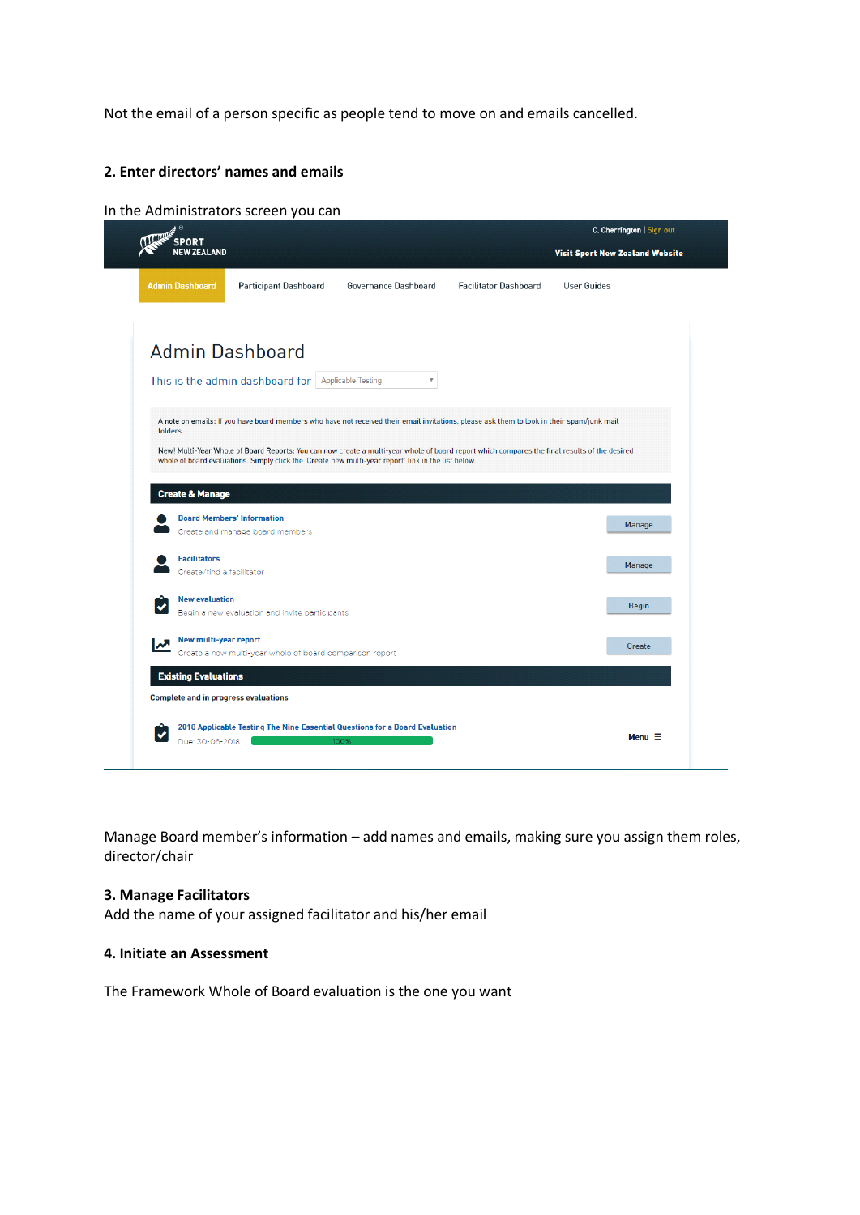Not the email of a person specific as people tend to move on and emails cancelled.

## **2. Enter directors' names and emails**

#### In the Administrators screen you can



Manage Board member's information – add names and emails, making sure you assign them roles, director/chair

#### **3. Manage Facilitators**

Add the name of your assigned facilitator and his/her email

#### **4. Initiate an Assessment**

The Framework Whole of Board evaluation is the one you want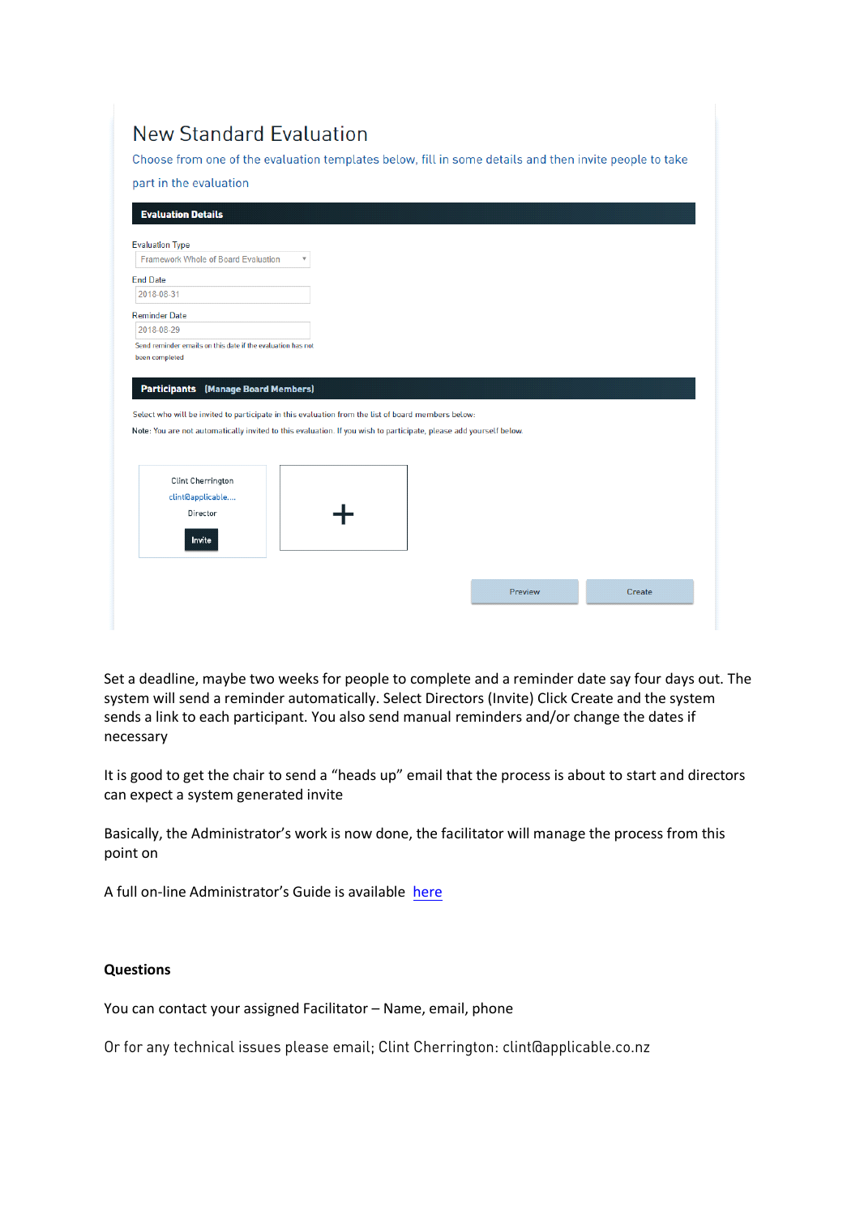| <b>New Standard Evaluation</b><br>Choose from one of the evaluation templates below, fill in some details and then invite people to take<br>part in the evaluation<br><b>Evaluation Details</b>                                                                                          |         |        |
|------------------------------------------------------------------------------------------------------------------------------------------------------------------------------------------------------------------------------------------------------------------------------------------|---------|--------|
| <b>Evaluation Type</b>                                                                                                                                                                                                                                                                   |         |        |
| <b>Framework Whole of Board Evaluation</b><br>$\overline{\mathbf{v}}$                                                                                                                                                                                                                    |         |        |
| <b>End Date</b>                                                                                                                                                                                                                                                                          |         |        |
| 2018-08-31                                                                                                                                                                                                                                                                               |         |        |
| <b>Reminder Date</b>                                                                                                                                                                                                                                                                     |         |        |
| 2018-08-29                                                                                                                                                                                                                                                                               |         |        |
| been completed<br><b>Participants</b> (Manage Board Members)<br>Select who will be invited to participate in this evaluation from the list of board members below:<br>Note: You are not automatically invited to this evaluation. If you wish to participate, please add yourself below. |         |        |
| Clint Cherrington<br>clint@applicable<br>Director<br>Invite                                                                                                                                                                                                                              |         |        |
|                                                                                                                                                                                                                                                                                          | Preview | Create |

Set a deadline, maybe two weeks for people to complete and a reminder date say four days out. The system will send a reminder automatically. Select Directors (Invite) Click Create and the system sends a link to each participant. You also send manual reminders and/or change the dates if necessary

It is good to get the chair to send a "heads up" email that the process is about to start and directors can expect a system generated invite

Basically, the Administrator's work is now done, the facilitator will manage the process from this point on

A full on-line Administrator's Guide is available [here](https://snz.directorevaluation.com/guides/administrators_guide.pdf)

## **Questions**

You can contact your assigned Facilitator – Name, email, phone

Or for any technical issues please email; [Clint Cherrington: clint@applicable.co.nz](mailto:clint@applicable.co.nz)